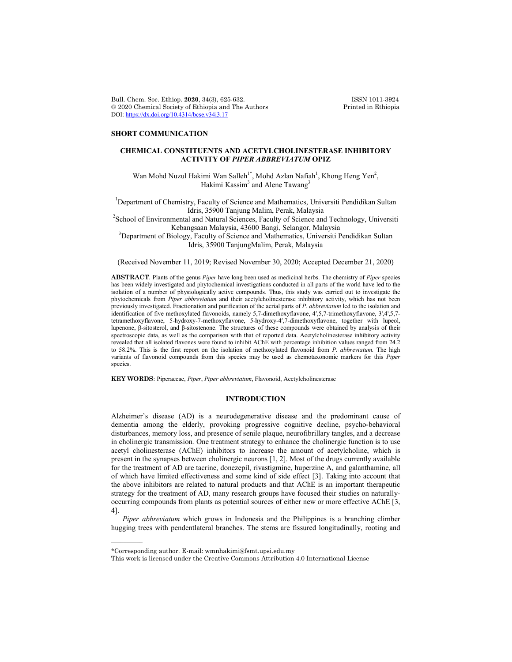Bull. Chem. Soc. Ethiop. **2020**, 34(3), 625-632. ISSN 1011-3924<br>
© 2020 Chemical Society of Ethiopia and The Authors Printed in Ethiopia  $© 2020 Chemical Society of Ethiopia and The Authors$ DOI: https://dx.doi.org/10.4314/bcse.v34i3.17

# **SHORT COMMUNICATION**

# **CHEMICAL CONSTITUENTS AND ACETYLCHOLINESTERASE INHIBITORY ACTIVITY OF** *PIPER ABBREVIATUM* **OPIZ**

Wan Mohd Nuzul Hakimi Wan Salleh<sup>1\*</sup>, Mohd Azlan Nafiah<sup>1</sup>, Khong Heng Yen<sup>2</sup>, Hakimi Kassim<sup>3</sup> and Alene Tawang<sup>3</sup>

<sup>1</sup>Department of Chemistry, Faculty of Science and Mathematics, Universiti Pendidikan Sultan Idris, 35900 Tanjung Malim, Perak, Malaysia <sup>2</sup>

<sup>2</sup>School of Environmental and Natural Sciences, Faculty of Science and Technology, Universiti<br>Kebangsaan Malaysia, 43600 Bangi, Selangor, Malaysia Kebangsaan Malaysia, 43600 Bangi, Selangor, Malaysia <sup>3</sup> Department of Biology, Faculty of Science and Mathematics, Universiti Pendidikan Sultan

Idris, 35900 TanjungMalim, Perak, Malaysia

(Received November 11, 2019; Revised November 30, 2020; Accepted December 21, 2020)

**ABSTRACT**. Plants of the genus *Piper* have long been used as medicinal herbs. The chemistry of *Piper* species has been widely investigated and phytochemical investigations conducted in all parts of the world have led to the isolation of a number of physiologically active compounds. Thus, this study was carried out to investigate the phytochemicals from *Piper abbreviatum* and their acetylcholinesterase inhibitory activity, which has not been previously investigated. Fractionation and purification of the aerial parts of *P. abbreviatum* led to the isolation and identification of five methoxylated flavonoids, namely 5,7-dimethoxyflavone, 4ʹ,5,7-trimethoxyflavone, 3',4',5,7 tetramethoxyflavone, 5-hydroxy-7-methoxyflavone, 5-hydroxy-4ʹ,7-dimethoxyflavone, together with lupeol, lupenone, β-sitosterol, and β-sitostenone. The structures of these compounds were obtained by analysis of their spectroscopic data, as well as the comparison with that of reported data. Acetylcholinesterase inhibitory activity revealed that all isolated flavones were found to inhibit AChE with percentage inhibition values ranged from 24.2 to 58.2%. This is the first report on the isolation of methoxylated flavonoid from *P. abbreviatum.* The high variants of flavonoid compounds from this species may be used as chemotaxonomic markers for this *Piper* species.

**KEY WORDS**: Piperaceae, *Piper*, *Piper abbreviatum*, Flavonoid, Acetylcholinesterase

### **INTRODUCTION**

Alzheimer's disease (AD) is a neurodegenerative disease and the predominant cause of dementia among the elderly, provoking progressive cognitive decline, psycho-behavioral disturbances, memory loss, and presence of senile plaque, neurofibrillary tangles, and a decrease in cholinergic transmission. One treatment strategy to enhance the cholinergic function is to use acetyl cholinesterase (AChE) inhibitors to increase the amount of acetylcholine, which is present in the synapses between cholinergic neurons [1, 2]. Most of the drugs currently available for the treatment of AD are tacrine, donezepil, rivastigmine, huperzine A, and galanthamine, all of which have limited effectiveness and some kind of side effect [3]. Taking into account that the above inhibitors are related to natural products and that AChE is an important therapeutic strategy for the treatment of AD, many research groups have focused their studies on naturallyoccurring compounds from plants as potential sources of either new or more effective AChE [3, 4].

*Piper abbreviatum* which grows in Indonesia and the Philippines is a branching climber hugging trees with pendentlateral branches. The stems are fissured longitudinally, rooting and

 $\overline{\phantom{a}}$ 

<sup>\*</sup>Corresponding author. E-mail: wmnhakimi@fsmt.upsi.edu.my

This work is licensed under the Creative Commons Attribution 4.0 International License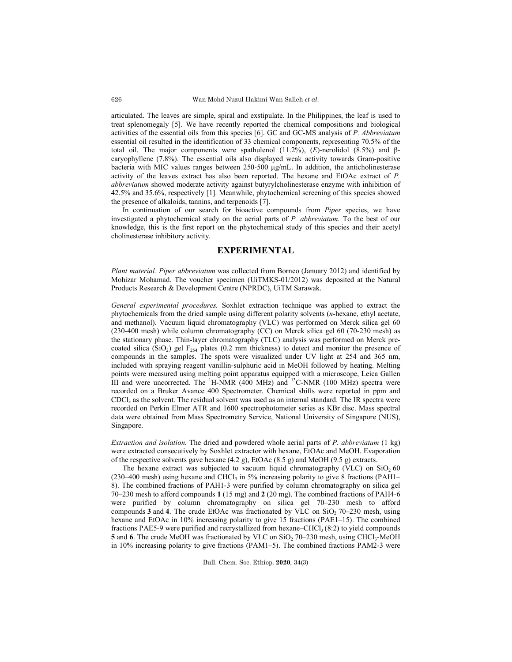articulated. The leaves are simple, spiral and exstipulate. In the Philippines, the leaf is used to treat splenomegaly [5]. We have recently reported the chemical compositions and biological activities of the essential oils from this species [6]. GC and GC-MS analysis of *P. Abbreviatum* essential oil resulted in the identification of 33 chemical components, representing 70.5% of the total oil. The major components were spathulenol (11.2%), (*E*)-nerolidol (8.5%) and βcaryophyllene (7.8%). The essential oils also displayed weak activity towards Gram-positive bacteria with MIC values ranges between  $250-500 \mu g/mL$ . In addition, the anticholinesterase activity of the leaves extract has also been reported. The hexane and EtOAc extract of *P. abbreviatum* showed moderate activity against butyrylcholinesterase enzyme with inhibition of 42.5% and 35.6%, respectively [1]. Meanwhile, phytochemical screening of this species showed the presence of alkaloids, tannins, and terpenoids [7].

In continuation of our search for bioactive compounds from *Piper* species, we have investigated a phytochemical study on the aerial parts of *P. abbreviatum.* To the best of our knowledge, this is the first report on the phytochemical study of this species and their acetyl cholinesterase inhibitory activity*.*

## **EXPERIMENTAL**

*Plant material. Piper abbreviatum* was collected from Borneo (January 2012) and identified by Mohizar Mohamad. The voucher specimen (UiTMKS-01/2012) was deposited at the Natural Products Research & Development Centre (NPRDC), UiTM Sarawak.

*General experimental procedures.* Soxhlet extraction technique was applied to extract the phytochemicals from the dried sample using different polarity solvents (*n*-hexane, ethyl acetate, and methanol). Vacuum liquid chromatography (VLC) was performed on Merck silica gel 60 (230-400 mesh) while column chromatography (CC) on Merck silica gel 60 (70-230 mesh) as the stationary phase. Thin-layer chromatography (TLC) analysis was performed on Merck precoated silica (SiO<sub>2</sub>) gel  $F_{254}$  plates (0.2 mm thickness) to detect and monitor the presence of compounds in the samples. The spots were visualized under UV light at 254 and 365 nm, included with spraying reagent vanillin-sulphuric acid in MeOH followed by heating. Melting points were measured using melting point apparatus equipped with a microscope, Leica Gallen III and were uncorrected. The  ${}^{1}$ H-NMR (400 MHz) and  ${}^{13}$ C-NMR (100 MHz) spectra were recorded on a Bruker Avance 400 Spectrometer. Chemical shifts were reported in ppm and  $CDCl<sub>3</sub>$  as the solvent. The residual solvent was used as an internal standard. The IR spectra were recorded on Perkin Elmer ATR and 1600 spectrophotometer series as KBr disc. Mass spectral data were obtained from Mass Spectrometry Service, National University of Singapore (NUS), Singapore.

*Extraction and isolation.* The dried and powdered whole aerial parts of *P. abbreviatum* (1 kg) were extracted consecutively by Soxhlet extractor with hexane, EtOAc and MeOH. Evaporation of the respective solvents gave hexane (4.2 g), EtOAc (8.5 g) and MeOH (9.5 g) extracts.

The hexane extract was subjected to vacuum liquid chromatography (VLC) on  $SiO<sub>2</sub> 60$ (230–400 mesh) using hexane and CHCl<sub>3</sub> in 5% increasing polarity to give 8 fractions (PAH1– 8). The combined fractions of PAH1-3 were purified by column chromatography on silica gel 70–230 mesh to afford compounds **1** (15 mg) and **2** (20 mg). The combined fractions of PAH4-6 were purified by column chromatography on silica gel 70–230 mesh to afford compounds  $3$  and  $4$ . The crude EtOAc was fractionated by VLC on SiO<sub>2</sub> 70–230 mesh, using hexane and EtOAc in 10% increasing polarity to give 15 fractions (PAE1–15). The combined fractions PAE5-9 were purified and recrystallized from hexane–CHCl<sub>3</sub> (8:2) to yield compounds **5** and **6**. The crude MeOH was fractionated by VLC on SiO<sub>2</sub> 70–230 mesh, using CHCl<sub>3</sub>-MeOH in 10% increasing polarity to give fractions (PAM1–5). The combined fractions PAM2-3 were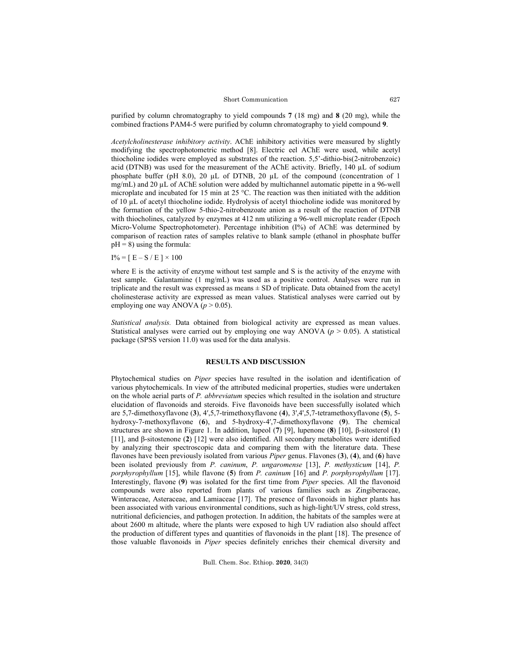#### Short Communication

purified by column chromatography to yield compounds **7** (18 mg) and **8** (20 mg), while the combined fractions PAM4-5 were purified by column chromatography to yield compound **9**.

*Acetylcholinesterase inhibitory activity*. AChE inhibitory activities were measured by slightly modifying the spectrophotometric method [8]. Electric eel AChE were used, while acetyl thiocholine iodides were employed as substrates of the reaction. 5,5'-dithio-bis(2-nitrobenzoic) acid (DTNB) was used for the measurement of the AChE activity. Briefly,  $140 \mu L$  of sodium phosphate buffer (pH 8.0), 20 µL of DTNB, 20 µL of the compound (concentration of 1 mg/mL) and 20 µL of AChE solution were added by multichannel automatic pipette in a 96-well microplate and incubated for 15 min at 25 °C. The reaction was then initiated with the addition of 10 µL of acetyl thiocholine iodide. Hydrolysis of acetyl thiocholine iodide was monitored by the formation of the yellow 5-thio-2-nitrobenzoate anion as a result of the reaction of DTNB with thiocholines, catalyzed by enzymes at 412 nm utilizing a 96-well microplate reader (Epoch Micro-Volume Spectrophotometer). Percentage inhibition (I%) of AChE was determined by comparison of reaction rates of samples relative to blank sample (ethanol in phosphate buffer  $pH = 8$ ) using the formula:

 $I\% = [E - S / E] \times 100$ 

where E is the activity of enzyme without test sample and S is the activity of the enzyme with test sample. Galantamine (1 mg/mL) was used as a positive control. Analyses were run in triplicate and the result was expressed as means  $\pm$  SD of triplicate. Data obtained from the acetyl cholinesterase activity are expressed as mean values. Statistical analyses were carried out by employing one way ANOVA  $(p > 0.05)$ .

*Statistical analysis.* Data obtained from biological activity are expressed as mean values. Statistical analyses were carried out by employing one way ANOVA ( $p > 0.05$ ). A statistical package (SPSS version 11.0) was used for the data analysis.

## **RESULTS AND DISCUSSION**

Phytochemical studies on *Piper* species have resulted in the isolation and identification of various phytochemicals. In view of the attributed medicinal properties, studies were undertaken on the whole aerial parts of *P. abbreviatum* species which resulted in the isolation and structure elucidation of flavonoids and steroids. Five flavonoids have been successfully isolated which are 5,7-dimethoxyflavone (**3**), 4ʹ,5,7-trimethoxyflavone (**4**), 3',4',5,7-tetramethoxyflavone (**5**), 5 hydroxy-7-methoxyflavone (**6**), and 5-hydroxy-4ʹ,7-dimethoxyflavone (**9**). The chemical structures are shown in Figure 1. In addition, lupeol (**7**) [9], lupenone (**8**) [10], β-sitosterol (**1**) [11], and β-sitostenone (**2**) [12] were also identified. All secondary metabolites were identified by analyzing their spectroscopic data and comparing them with the literature data. These flavones have been previously isolated from various *Piper* genus. Flavones (**3**), (**4**), and (**6**) have been isolated previously from *P. caninum*, *P. ungaromense* [13], *P. methysticum* [14], *P. porphyrophyllum* [15], while flavone (**5**) from *P. caninum* [16] and *P. porphyrophyllum* [17]. Interestingly, flavone (**9**) was isolated for the first time from *Piper* species. All the flavonoid compounds were also reported from plants of various families such as Zingiberaceae, Winteraceae, Asteraceae, and Lamiaceae [17]. The presence of flavonoids in higher plants has been associated with various environmental conditions, such as high-light/UV stress, cold stress, nutritional deficiencies, and pathogen protection. In addition, the habitats of the samples were at about 2600 m altitude, where the plants were exposed to high UV radiation also should affect the production of different types and quantities of flavonoids in the plant [18]. The presence of those valuable flavonoids in *Piper* species definitely enriches their chemical diversity and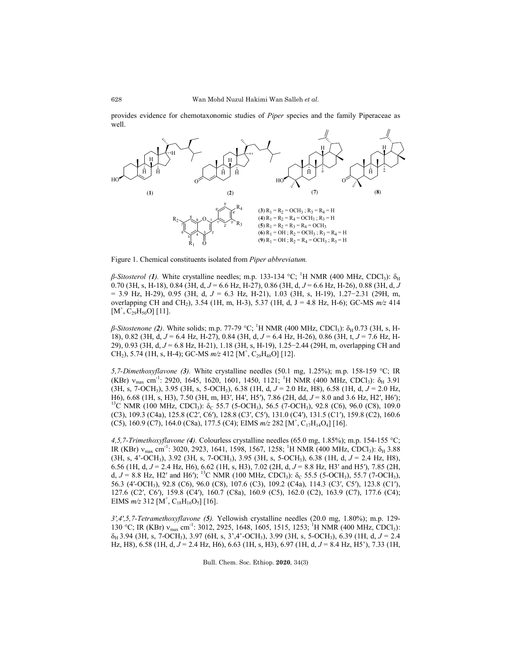provides evidence for chemotaxonomic studies of *Piper* species and the family Piperaceae as well.



Figure 1. Chemical constituents isolated from *Piper abbreviatum.*

*β-Sitosterol (1).* White crystalline needles; m.p. 133-134 °C; <sup>1</sup>H NMR (400 MHz, CDCl<sub>3</sub>): δ<sub>H</sub> 0.70 (3H, s, H-18), 0.84 (3H, d, *J* = 6.6 Hz, H-27), 0.86 (3H, d, *J* = 6.6 Hz, H-26), 0.88 (3H, d, *J* = 3.9 Hz, H-29), 0.95 (3H, d, *J* = 6.3 Hz, H-21), 1.03 (3H, s, H-19), 1.27−2.31 (29H, m, overlapping CH and CH<sub>2</sub>), 3.54 (1H, m, H-3), 5.37 (1H, d, J = 4.8 Hz, H-6); GC-MS  $m/z$  414  $[M^{\dagger}, \widetilde{C_{29}H_{50}O}]$  [11].

*β-Sitostenone (2)*. White solids; m.p. 77-79 °C; <sup>1</sup>H NMR (400 MHz, CDCl<sub>3</sub>): δ<sub>H</sub> 0.73 (3H, s, H-18), 0.82 (3H, d, *J* = 6.4 Hz, H-27), 0.84 (3H, d, *J* = 6.4 Hz, H-26), 0.86 (3H, t, *J* = 7.6 Hz, H-29), 0.93 (3H, d, *J* = 6.8 Hz, H-21), 1.18 (3H, s, H-19), 1.25−2.44 (29H, m, overlapping CH and CH<sub>2</sub>), 5.74 (1H, s, H-4); GC-MS  $m/z$  412 [M<sup>+</sup>, C<sub>29</sub>H<sub>48</sub>O] [12].

*5,7-Dimethoxyflavone (3).* White crystalline needles (50.1 mg, 1.25%); m.p. 158-159 °C; IR (KBr)  $v_{\text{max}}$  cm<sup>-1</sup>: 2920, 1645, 1620, 1601, 1450, 1121; <sup>1</sup>H NMR (400 MHz, CDCl<sub>3</sub>):  $\delta_{\text{H}}$  3.91 (3H, s, 7-OCH<sub>3</sub>), 3.95 (3H, s, 5-OCH<sub>3</sub>), 6.38 (1H, d,  $J = 2.0$  Hz, H8), 6.58 (1H, d,  $J = 2.0$  Hz, H6), 6.68 (1H, s, H3), 7.50 (3H, m, H3', H4', H5'), 7.86 (2H, dd,  $J = 8.0$  and 3.6 Hz, H2', H6'); <sup>13</sup>C NMR (100 MHz, CDCl<sub>3</sub>): δ<sub>C</sub> 55.7 (5-OCH<sub>3</sub>), 56.5 (7-OCH<sub>3</sub>), 92.8 (C6), 96.0 (C8), 109.0 (C3), 109.3 (C4a), 125.8 (C2′, C6′), 128.8 (C3′, C5′), 131.0 (C4′), 131.5 (C1′), 159.8 (C2), 160.6 (C5), 160.9 (C7), 164.0 (C8a), 177.5 (C4); EIMS  $m/z$  282 [M<sup>+</sup>, C<sub>17</sub>H<sub>14</sub>O<sub>4</sub>] [16].

*4,5,7-Trimethoxyflavone (4).* Colourless crystalline needles (65.0 mg, 1.85%); m.p. 154-155 °C; IR (KBr)  $v_{\text{max}}$  cm<sup>-1</sup>: 3020, 2923, 1641, 1598, 1567, 1258; <sup>1</sup>H NMR (400 MHz, CDCl<sub>3</sub>):  $\delta_H$  3.88 (3H, s, 4'-OCH3), 3.92 (3H, s, 7-OCH3), 3.95 (3H, s, 5-OCH3), 6.38 (1H, d, *J* = 2.4 Hz, H8), 6.56 (1H, d, *J* = 2.4 Hz, H6), 6.62 (1H, s, H3), 7.02 (2H, d, *J* = 8.8 Hz, H3′ and H5′), 7.85 (2H, d,  $J = 8.8$  Hz, H2' and H6'); <sup>13</sup>C NMR (100 MHz, CDCl<sub>3</sub>):  $\delta_c$  55.5 (5-OCH<sub>3</sub>), 55.7 (7-OCH<sub>3</sub>), 56.3 (4′-OCH3), 92.8 (C6), 96.0 (C8), 107.6 (C3), 109.2 (C4a), 114.3 (C3′, C5′), 123.8 (C1′), 127.6 (C2′, C6′), 159.8 (C4′), 160.7 (C8a), 160.9 (C5), 162.0 (C2), 163.9 (C7), 177.6 (C4); EIMS  $m/z$  312 [M<sup>+</sup>, C<sub>18</sub>H<sub>16</sub>O<sub>5</sub>] [16].

*3',4',5,7-Tetramethoxyflavone (5).* Yellowish crystalline needles (20.0 mg, 1.80%); m.p. 129- 130 °C; IR (KBr)  $v_{max}$  cm<sup>-1</sup>: 3012, 2925, 1648, 1605, 1515, 1253; <sup>1</sup>H NMR (400 MHz, CDCl<sub>3</sub>):  $\delta_H$  3.94 (3H, s, 7-OCH<sub>3</sub>), 3.97 (6H, s, 3',4'-OCH<sub>3</sub>), 3.99 (3H, s, 5-OCH<sub>3</sub>), 6.39 (1H, d, *J* = 2.4 Hz, H8), 6.58 (1H, d, *J* = 2.4 Hz, H6), 6.63 (1H, s, H3), 6.97 (1H, d, *J* = 8.4 Hz, H5'), 7.33 (1H,

Bull. Chem. Soc. Ethiop. **2020**, 34(3)

628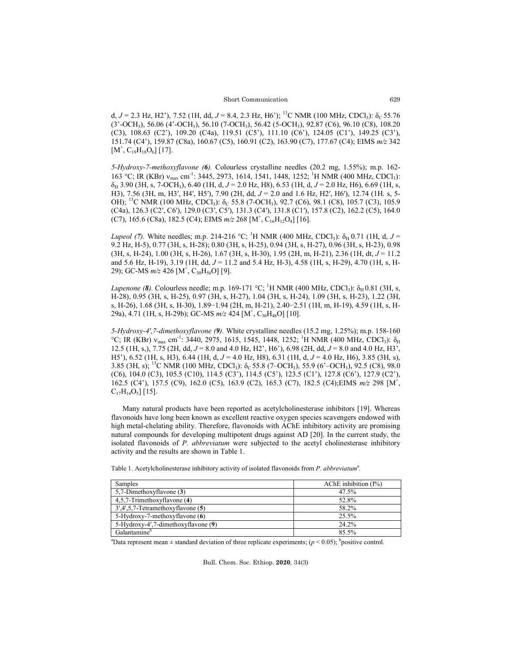d,  $J = 2.3$  Hz, H2'), 7.52 (1H, dd,  $J = 8.4$ , 2.3 Hz, H6'); <sup>13</sup>C NMR (100 MHz, CDCl<sub>3</sub>):  $\delta_c$  55.76 (3'-OCH3), 56.06 (4'-OCH3), 56.10 (7-OCH3), 56.42 (5-OCH3), 92.87 (C6), 96.10 (C8), 108.20 (C3), 108.63 (C2'), 109.20 (C4a), 119.51 (C5'), 111.10 (C6'), 124.05 (C1'), 149.25 (C3'), 151.74 (C4'), 159.87 (C8a), 160.67 (C5), 160.91 (C2), 163.90 (C7), 177.67 (C4); EIMS *m/z* 342  $[M^{\dagger}, C_{19}H_{18}O_6]$  [17].

*5-Hydroxy-7-methoxyflavone (6).* Colourless crystalline needles (20.2 mg, 1.55%); m.p. 162- 163 °C; IR (KBr) v<sub>max</sub> cm<sup>-1</sup>: 3445, 2973, 1614, 1541, 1448, 1252; <sup>1</sup>H NMR (400 MHz, CDCl<sub>3</sub>): δH 3.90 (3H, s, 7-OCH3), 6.40 (1H, d, *J* = 2.0 Hz, H8), 6.53 (1H, d, *J* = 2.0 Hz, H6), 6.69 (1H, s, H3), 7.56 (3H, m, H3′, H4′, H5′), 7.90 (2H, dd, *J* = 2.0 and 1.6 Hz, H2′, H6′), 12.74 (1H. s, 5- OH); <sup>13</sup>C NMR (100 MHz, CDCl<sub>3</sub>): δ<sub>C</sub> 55.8 (7-OCH<sub>3</sub>), 92.7 (C6), 98.1 (C8), 105.7 (C3), 105.9 (C4a), 126.3 (C2′, C6′), 129.0 (C3′, C5′), 131.3 (C4′), 131.8 (C1′), 157.8 (C2), 162.2 (C5), 164.0  $(C7)$ , 165.6  $(C8a)$ , 182.5  $(C4)$ ; EIMS  $m/z$  268  $[M^{\dagger}, C_{16}H_{12}O_4]$  [16].

*Lupeol (7)*. White needles; m.p. 214-216 °C; <sup>1</sup>H NMR (400 MHz, CDCl<sub>3</sub>):  $\delta_H$  0.71 (1H, d, *J* = 9.2 Hz, H-5), 0.77 (3H, s, H-28); 0.80 (3H, s, H-25), 0.94 (3H, s, H-27), 0.96 (3H, s, H-23), 0.98 (3H, s, H-24), 1.00 (3H, s, H-26), 1.67 (3H, s, H-30), 1.95 (2H, m, H-21), 2.36 (1H, dt, *J* = 11.2 and 5.6 Hz, H-19), 3.19 (1H, dd, *J* = 11.2 and 5.4 Hz, H-3), 4.58 (1H, s, H-29), 4.70 (1H, s, H-29); GC-MS *m/z* 426 [M<sup>+</sup>, C<sub>30</sub>H<sub>50</sub>O] [9].

*Lupenone (8).* Colourless needle; m.p. 169-171 °C; <sup>1</sup>H NMR (400 MHz, CDCl<sub>3</sub>): δ<sub>H</sub> 0.81 (3H, s, H-28), 0.95 (3H, s, H-25), 0.97 (3H, s, H-27), 1.04 (3H, s, H-24), 1.09 (3H, s, H-23), 1.22 (3H, s, H-26), 1.68 (3H, s, H-30), 1.89−1.94 (2H, m, H-21), 2.40−2.51 (1H, m, H-19), 4.59 (1H, s, H-29a), 4.71 (1H, s, H-29b); GC-MS  $m/z$  424 [M<sup>+</sup>, C<sub>30</sub>H<sub>48</sub>O] [10].

*5-Hydroxy-4ʹ,7-dimethoxyflavone (9).* White crystalline needles (15.2 mg, 1.25%); m.p. 158-160 °C; IR (KBr) v<sub>max</sub> cm<sup>-1</sup>: 3440, 2975, 1615, 1545, 1448, 1252; <sup>1</sup>H NMR (400 MHz, CDCl<sub>3</sub>):  $\delta_H$ 12.5 (1H, s,), 7.75 (2H, dd, *J* = 8.0 and 4.0 Hz, H2', H6'), 6.98 (2H, dd, *J* = 8.0 and 4.0 Hz, H3', H5'), 6.52 (1H, s, H3), 6.44 (1H, d, *J* = 4.0 Hz, H8), 6.31 (1H, d, *J* = 4.0 Hz, H6), 3.85 (3H, s), 3.85 (3H, s); <sup>13</sup>C NMR (100 MHz, CDCl<sub>3</sub>):  $\delta$ <sub>C</sub> 55.8 (7–OCH<sub>3</sub>), 55.9 (6'–OCH<sub>3</sub>), 92.5 (C8), 98.0 (C6), 104.0 (C3), 105.5 (C10), 114.5 (C3'), 114.5 (C5'), 123.5 (C1'), 127.8 (C6'), 127.9 (C2'), 162.5 (C4'), 157.5 (C9), 162.0 (C5), 163.9 (C2), 165.3 (C7), 182.5 (C4); EIMS  $m/z$  298 [M<sup>+</sup>,  $C_{17}H_{14}O_5$  [15].

Many natural products have been reported as acetylcholinesterase inhibitors [19]. Whereas flavonoids have long been known as excellent reactive oxygen species scavengers endowed with high metal-chelating ability. Therefore, flavonoids with AChE inhibitory activity are promising natural compounds for developing multipotent drugs against AD [20]. In the current study, the isolated flavonoids of *P. abbreviatum* were subjected to the acetyl cholinesterase inhibitory activity and the results are shown in Table 1.

| Samples                              | AChE inhibition $(I\%)$ |
|--------------------------------------|-------------------------|
| 5,7-Dimethoxyflavone (3)             | 47.5%                   |
| 4,5,7-Trimethoxyflavone (4)          | 52.8%                   |
| $3',4',5,7$ -Tetramethoxyflavone (5) | 58.2%                   |
| 5-Hydroxy-7-methoxyflavone (6)       | 25.5%                   |
| 5-Hydroxy-4',7-dimethoxyflavone (9)  | 24.2%                   |
| Galantamine <sup>b</sup>             | 85.5%                   |

Table 1. Acetylcholinesterase inhibitory activity of isolated flavonoids from *P. abbreviatum*<sup>a</sup>.

<sup>a</sup>Data represent mean  $\pm$  standard deviation of three replicate experiments; ( $p < 0.05$ ); <sup>b</sup>positive control.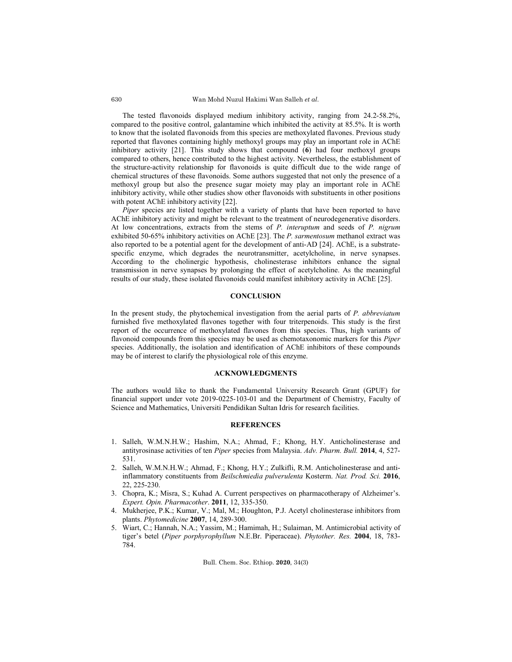Wan Mohd Nuzul Hakimi Wan Salleh *et al*.

The tested flavonoids displayed medium inhibitory activity, ranging from 24.2-58.2%, compared to the positive control, galantamine which inhibited the activity at 85.5%. It is worth to know that the isolated flavonoids from this species are methoxylated flavones. Previous study reported that flavones containing highly methoxyl groups may play an important role in AChE inhibitory activity [21]. This study shows that compound (**6**) had four methoxyl groups compared to others, hence contributed to the highest activity. Nevertheless, the establishment of the structure-activity relationship for flavonoids is quite difficult due to the wide range of chemical structures of these flavonoids. Some authors suggested that not only the presence of a methoxyl group but also the presence sugar moiety may play an important role in AChE inhibitory activity, while other studies show other flavonoids with substituents in other positions with potent AChE inhibitory activity [22].

*Piper* species are listed together with a variety of plants that have been reported to have AChE inhibitory activity and might be relevant to the treatment of neurodegenerative disorders. At low concentrations, extracts from the stems of *P. interuptum* and seeds of *P. nigrum* exhibited 50-65% inhibitory activities on AChE [23]. The *P. sarmentosum* methanol extract was also reported to be a potential agent for the development of anti-AD [24]. AChE, is a substratespecific enzyme, which degrades the neurotransmitter, acetylcholine, in nerve synapses. According to the cholinergic hypothesis, cholinesterase inhibitors enhance the signal transmission in nerve synapses by prolonging the effect of acetylcholine. As the meaningful results of our study, these isolated flavonoids could manifest inhibitory activity in AChE [25].

### **CONCLUSION**

In the present study, the phytochemical investigation from the aerial parts of *P. abbreviatum* furnished five methoxylated flavones together with four triterpenoids. This study is the first report of the occurrence of methoxylated flavones from this species. Thus, high variants of flavonoid compounds from this species may be used as chemotaxonomic markers for this *Piper* species. Additionally, the isolation and identification of AChE inhibitors of these compounds may be of interest to clarify the physiological role of this enzyme.

## **ACKNOWLEDGMENTS**

The authors would like to thank the Fundamental University Research Grant (GPUF) for financial support under vote 2019-0225-103-01 and the Department of Chemistry, Faculty of Science and Mathematics, Universiti Pendidikan Sultan Idris for research facilities.

#### **REFERENCES**

- 1. Salleh, W.M.N.H.W.; Hashim, N.A.; Ahmad, F.; Khong, H.Y. Anticholinesterase and antityrosinase activities of ten *Piper* species from Malaysia. *Adv. Pharm. Bull.* **2014**, 4, 527- 531.
- 2. Salleh, W.M.N.H.W.; Ahmad, F.; Khong, H.Y.; Zulkifli, R.M. Anticholinesterase and antiinflammatory constituents from *Beilschmiedia pulverulenta* Kosterm. *Nat. Prod. Sci.* **2016**, 22, 225-230.
- 3. Chopra, K.; Misra, S.; Kuhad A. Current perspectives on pharmacotherapy of Alzheimer's. *Expert. Opin. Pharmacother*. **2011**, 12, 335-350.
- 4. Mukherjee, P.K.; Kumar, V.; Mal, M.; Houghton, P.J. Acetyl cholinesterase inhibitors from plants. *Phytomedicine* **2007**, 14, 289-300.
- 5. Wiart, C.; Hannah, N.A.; Yassim, M.; Hamimah, H.; Sulaiman, M. Antimicrobial activity of tiger's betel (*Piper porphyrophyllum* N.E.Br. Piperaceae). *Phytother. Res.* **2004**, 18, 783- 784.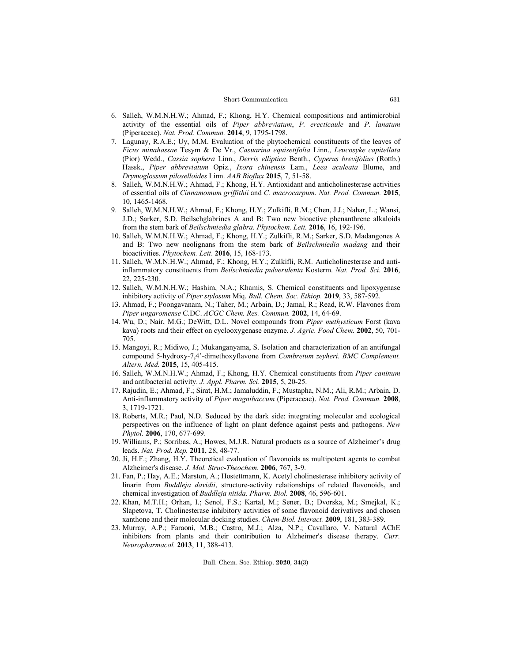#### Short Communication

- 6. Salleh, W.M.N.H.W.; Ahmad, F.; Khong, H.Y. Chemical compositions and antimicrobial activity of the essential oils of *Piper abbreviatum*, *P. erecticaule* and *P. lanatum* (Piperaceae). *Nat. Prod. Commun.* **2014**, 9, 1795-1798.
- 7. Lagunay, R.A.E.; Uy, M.M. Evaluation of the phytochemical constituents of the leaves of *Ficus minahassae* Tesym & De Vr., *Casuarina equisetifolia* Linn., *Leucosyke capitellata* (Pior) Wedd., *Cassia sophera* Linn., *Derris elliptica* Benth., *Cyperus brevifolius* (Rottb.) Hassk., *Piper abbreviatum* Opiz., *Ixora chinensis* Lam., *Leea aculeata* Blume, and *Drymoglossum piloselloides* Linn. *AAB Bioflux* **2015**, 7, 51-58.
- 8. Salleh, W.M.N.H.W.; Ahmad, F.; Khong, H.Y. Antioxidant and anticholinesterase activities of essential oils of *Cinnamomum griffithii* and *C. macrocarpum*. *Nat. Prod. Commun.* **2015**, 10, 1465-1468.
- 9. Salleh, W.M.N.H.W.; Ahmad, F.; Khong, H.Y.; Zulkifli, R.M.; Chen, J.J.; Nahar, L.; Wansi, J.D.; Sarker, S.D. Beilschglabrines A and B: Two new bioactive phenanthrene alkaloids from the stem bark of *Beilschmiedia glabra*. *Phytochem. Lett.* **2016**, 16, 192-196.
- 10. Salleh, W.M.N.H.W.; Ahmad, F.; Khong, H.Y.; Zulkifli, R.M.; Sarker, S.D. Madangones A and B: Two new neolignans from the stem bark of *Beilschmiedia madang* and their bioactivities. *Phytochem. Lett*. **2016**, 15, 168-173.
- 11. Salleh, W.M.N.H.W.; Ahmad, F.; Khong, H.Y.; Zulkifli, R.M. Anticholinesterase and antiinflammatory constituents from *Beilschmiedia pulverulenta* Kosterm. *Nat. Prod. Sci.* **2016**, 22, 225-230.
- 12. Salleh, W.M.N.H.W.; Hashim, N.A.; Khamis, S. Chemical constituents and lipoxygenase inhibitory activity of *Piper stylosum* Miq. *Bull. Chem. Soc. Ethiop.* **2019**, 33, 587-592.
- 13. Ahmad, F.; Poongavanam, N.; Taher, M.; Arbain, D.; Jamal, R.; Read, R.W. Flavones from *Piper ungaromense* C.DC. *ACGC Chem. Res. Commun.* **2002**, 14, 64-69.
- 14. Wu, D.; Nair, M.G.; DeWitt, D.L. Novel compounds from *Piper methysticum* Forst (kava kava) roots and their effect on cyclooxygenase enzyme. *J. Agric. Food Chem.* **2002**, 50, 701- 705.
- 15. Mangoyi, R.; Midiwo, J.; Mukanganyama, S. Isolation and characterization of an antifungal compound 5-hydroxy-7,4'-dimethoxyflavone from *Combretum zeyheri*. *BMC Complement. Altern. Med.* **2015**, 15, 405-415.
- 16. Salleh, W.M.N.H.W.; Ahmad, F.; Khong, H.Y. Chemical constituents from *Piper caninum* and antibacterial activity. *J. Appl. Pharm. Sci*. **2015**, 5, 20-25.
- 17. Rajudin, E.; Ahmad, F.; Sirat, H.M.; Jamaluddin, F.; Mustapha, N.M.; Ali, R.M.; Arbain, D. Anti-inflammatory activity of *Piper magnibaccum* (Piperaceae). *Nat. Prod. Commun.* **2008**, 3, 1719-1721.
- 18. Roberts, M.R.; Paul, N.D. Seduced by the dark side: integrating molecular and ecological perspectives on the influence of light on plant defence against pests and pathogens. *New Phytol.* **2006**, 170, 677-699.
- 19. Williams, P.; Sorribas, A.; Howes, M.J.R. Natural products as a source of Alzheimer's drug leads. *Nat. Prod. Rep.* **2011**, 28, 48-77.
- 20. Ji, H.F.; Zhang, H.Y. Theoretical evaluation of flavonoids as multipotent agents to combat Alzheimer's disease. *J. Mol. Struc-Theochem.* **2006**, 767, 3-9.
- 21. Fan, P.; Hay, A.E.; Marston, A.; Hostettmann, K. Acetyl cholinesterase inhibitory activity of linarin from *Buddleja davidii*, structure-activity relationships of related flavonoids, and chemical investigation of *Buddleja nitida*. *Pharm. Biol.* **2008**, 46, 596-601.
- 22. Khan, M.T.H.; Orhan, I.; Senol, F.S.; Kartal, M.; Sener, B.; Dvorska, M.; Smejkal, K.; Slapetova, T. Cholinesterase inhibitory activities of some flavonoid derivatives and chosen xanthone and their molecular docking studies. *Chem-Biol. Interact.* **2009**, 181, 383-389.
- 23. Murray, A.P.; Faraoni, M.B.; Castro, M.J.; Alza, N.P.; Cavallaro, V. Natural AChE inhibitors from plants and their contribution to Alzheimer's disease therapy. *Curr. Neuropharmacol.* **2013**, 11, 388-413.